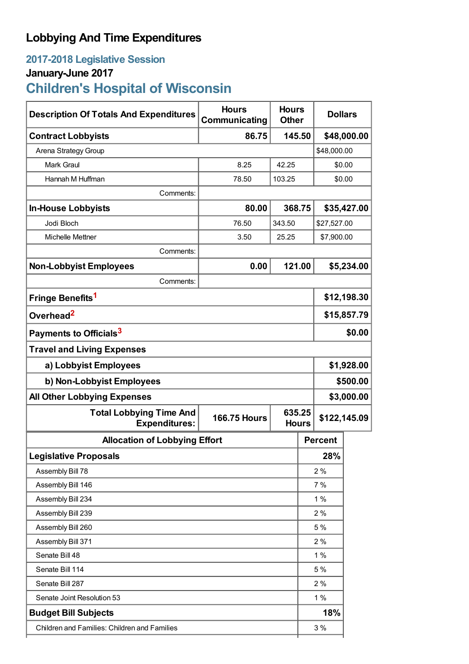## **Lobbying And Time Expenditures**

### **2017-2018 Legislative Session January-June 2017**

# **Children's Hospital of Wisconsin**

| <b>Description Of Totals And Expenditures</b>          | <b>Hours</b><br>Communicating | <b>Hours</b><br><b>Other</b> |    | <b>Dollars</b> |              |  |
|--------------------------------------------------------|-------------------------------|------------------------------|----|----------------|--------------|--|
| <b>Contract Lobbyists</b>                              | 86.75                         | 145.50                       |    | \$48,000.00    |              |  |
| Arena Strategy Group                                   |                               |                              |    | \$48,000.00    |              |  |
| <b>Mark Graul</b>                                      | 8.25                          | 42.25                        |    | \$0.00         |              |  |
| Hannah M Huffman                                       | 78.50                         | 103.25                       |    | \$0.00         |              |  |
| Comments:                                              |                               |                              |    |                |              |  |
| <b>In-House Lobbyists</b>                              | 80.00                         | 368.75                       |    | \$35,427.00    |              |  |
| Jodi Bloch                                             | 76.50                         | 343.50                       |    | \$27,527.00    |              |  |
| Michelle Mettner                                       | 3.50                          | 25.25                        |    | \$7,900.00     |              |  |
| Comments:                                              |                               |                              |    |                |              |  |
| <b>Non-Lobbyist Employees</b>                          | 0.00                          | 121.00                       |    | \$5,234.00     |              |  |
| Comments:                                              |                               |                              |    |                |              |  |
| Fringe Benefits <sup>1</sup>                           |                               |                              |    | \$12,198.30    |              |  |
| Overhead <sup>2</sup>                                  |                               |                              |    | \$15,857.79    |              |  |
| Payments to Officials <sup>3</sup>                     |                               |                              |    | \$0.00         |              |  |
| <b>Travel and Living Expenses</b>                      |                               |                              |    |                |              |  |
| a) Lobbyist Employees                                  |                               |                              |    | \$1,928.00     |              |  |
| b) Non-Lobbyist Employees                              |                               |                              |    | \$500.00       |              |  |
| <b>All Other Lobbying Expenses</b>                     |                               |                              |    | \$3,000.00     |              |  |
| <b>Total Lobbying Time And</b><br><b>Expenditures:</b> | <b>166.75 Hours</b>           | 635.25<br><b>Hours</b>       |    |                | \$122,145.09 |  |
| <b>Allocation of Lobbying Effort</b>                   |                               |                              |    | <b>Percent</b> |              |  |
| <b>Legislative Proposals</b>                           |                               |                              |    | 28%            |              |  |
| Assembly Bill 78                                       |                               |                              |    | 2%             |              |  |
| Assembly Bill 146                                      |                               |                              | 7% |                |              |  |
| Assembly Bill 234                                      |                               |                              |    | 1%             |              |  |
| Assembly Bill 239                                      |                               |                              |    | 2%             |              |  |
| Assembly Bill 260                                      |                               |                              |    | 5 %            |              |  |
| Assembly Bill 371                                      |                               |                              |    | 2%             |              |  |
| Senate Bill 48                                         |                               |                              |    | 1%             |              |  |
| Senate Bill 114                                        |                               |                              |    | 5 %            |              |  |
| Senate Bill 287                                        |                               |                              |    | 2%             |              |  |
| Senate Joint Resolution 53                             |                               |                              |    | 1%             |              |  |
| <b>Budget Bill Subjects</b>                            |                               |                              |    | 18%            |              |  |
| Children and Families: Children and Families           |                               |                              |    | 3%             |              |  |